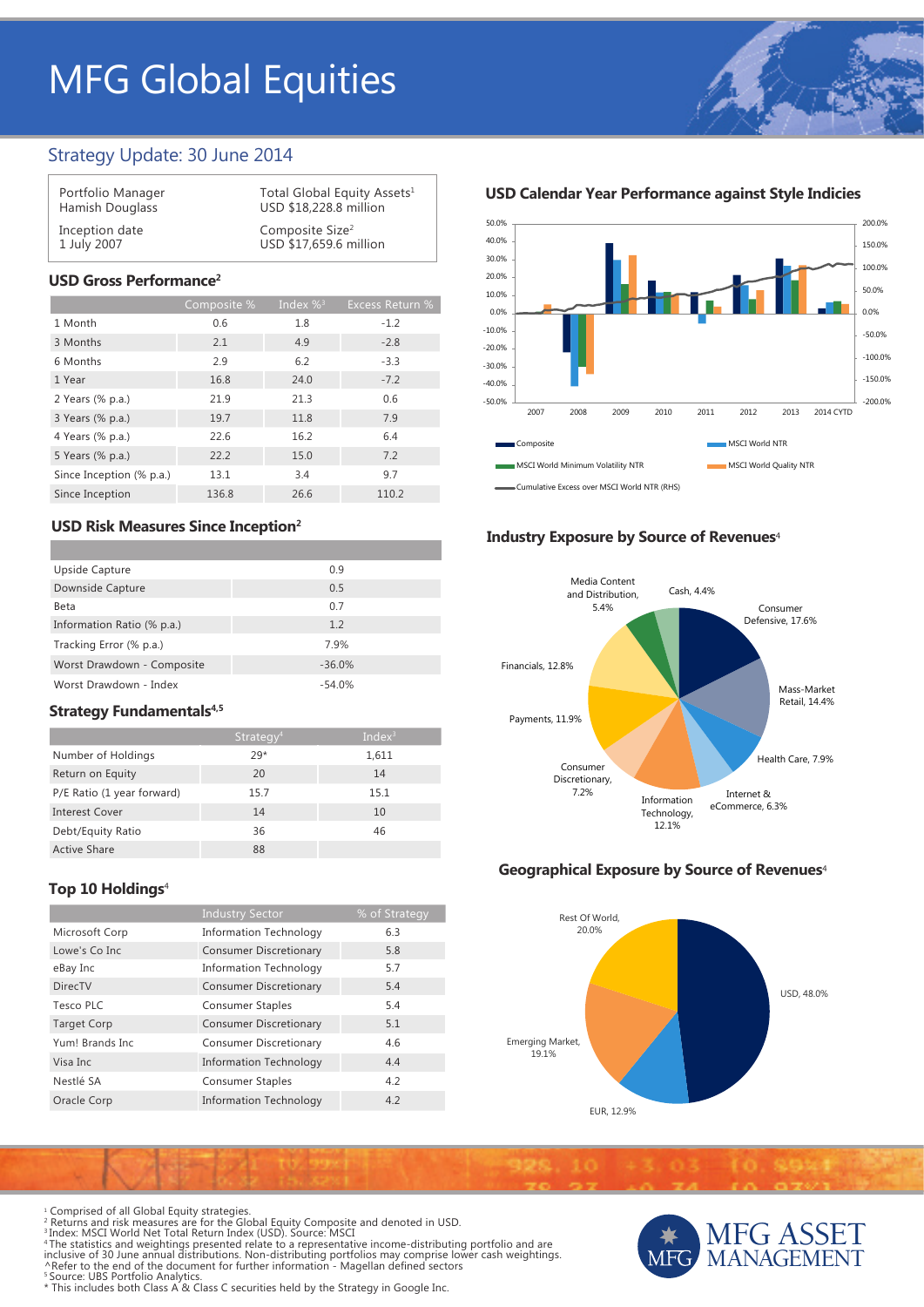# MFG Global Equities

## Strategy Update: 30 June 2014

| Portfolio Manager | Total Global Equity Assets <sup>1</sup> |
|-------------------|-----------------------------------------|
| Hamish Douglass   | USD \$18,228.8 million                  |
| Inception date    | Composite Size <sup>2</sup>             |
| 1 July 2007       | USD \$17,659.6 million                  |

## **USD Gross Performance2**

|                          | Composite % | Index $\%$ <sup>3</sup> | <b>Excess Return %</b> |
|--------------------------|-------------|-------------------------|------------------------|
| 1 Month                  | 0.6         | 1.8                     | $-1.2$                 |
| 3 Months                 | 2.1         | 4.9                     | $-2.8$                 |
| 6 Months                 | 2.9         | 6.2                     | $-3.3$                 |
| 1 Year                   | 16.8        | 24.0                    | $-7.2$                 |
| 2 Years (% p.a.)         | 21.9        | 21.3                    | 0.6                    |
| 3 Years (% p.a.)         | 19.7        | 11.8                    | 7.9                    |
| 4 Years (% p.a.)         | 22.6        | 16.2                    | 6.4                    |
| 5 Years (% p.a.)         | 22.2        | 15.0                    | 7.2                    |
| Since Inception (% p.a.) | 13.1        | 3.4                     | 9.7                    |
| Since Inception          | 136.8       | 26.6                    | 110.2                  |

## **USD Risk Measures Since Inception2**

| Upside Capture             | 0.9      |
|----------------------------|----------|
| Downside Capture           | 0.5      |
| Beta                       | 0.7      |
| Information Ratio (% p.a.) | 1.2      |
| Tracking Error (% p.a.)    | 7.9%     |
| Worst Drawdown - Composite | $-36.0%$ |
| Worst Drawdown - Index     | $-54.0%$ |

## **Strategy Fundamentals<sup>4,5</sup>**

|                            | Strategy <sup>4</sup> | Index $3$ |
|----------------------------|-----------------------|-----------|
| Number of Holdings         | $79*$                 | 1,611     |
| Return on Equity           | 20                    | 14        |
| P/E Ratio (1 year forward) | 15.7                  | 15.1      |
| <b>Interest Cover</b>      | 14                    | 10        |
| Debt/Equity Ratio          | 36                    | 46        |
| <b>Active Share</b>        | 88                    |           |

## **Top 10 Holdings**<sup>4</sup>

|                    | <b>Industry Sector</b>        | % of Strategy |
|--------------------|-------------------------------|---------------|
| Microsoft Corp     | <b>Information Technology</b> | 6.3           |
| Lowe's Co Inc.     | <b>Consumer Discretionary</b> | 5.8           |
| eBay Inc           | <b>Information Technology</b> | 5.7           |
| <b>DirecTV</b>     | <b>Consumer Discretionary</b> | 5.4           |
| Tesco PLC          | <b>Consumer Staples</b>       | 5.4           |
| <b>Target Corp</b> | <b>Consumer Discretionary</b> | 5.1           |
| Yum! Brands Inc.   | <b>Consumer Discretionary</b> | 4.6           |
| Visa Inc           | <b>Information Technology</b> | 4.4           |
| Nestlé SA          | <b>Consumer Staples</b>       | 4.2           |
| Oracle Corp        | <b>Information Technology</b> | 4.2           |

**USD Calendar Year Performance against Style Indicies**



### **Industry Exposure by Source of Revenues**<sup>4</sup>



## **Geographical Exposure by Source of Revenues**<sup>4</sup>



MFG ASSET MANAGEMENT

Comprised of all Global Equity strategies.

- 
- 
- <sup>1</sup> Comprised of all Global Equity strategies.<br><sup>2</sup> Returns and risk measures are for the Global Equity Composite and denoted in USD.<br><sup>3</sup> Index: MSCI World Net Total Return Index (USD). Source: MSCI<br>"The statistics and weig
- 
- \* This includes both Class A & Class C securities held by the Strategy in Google Inc.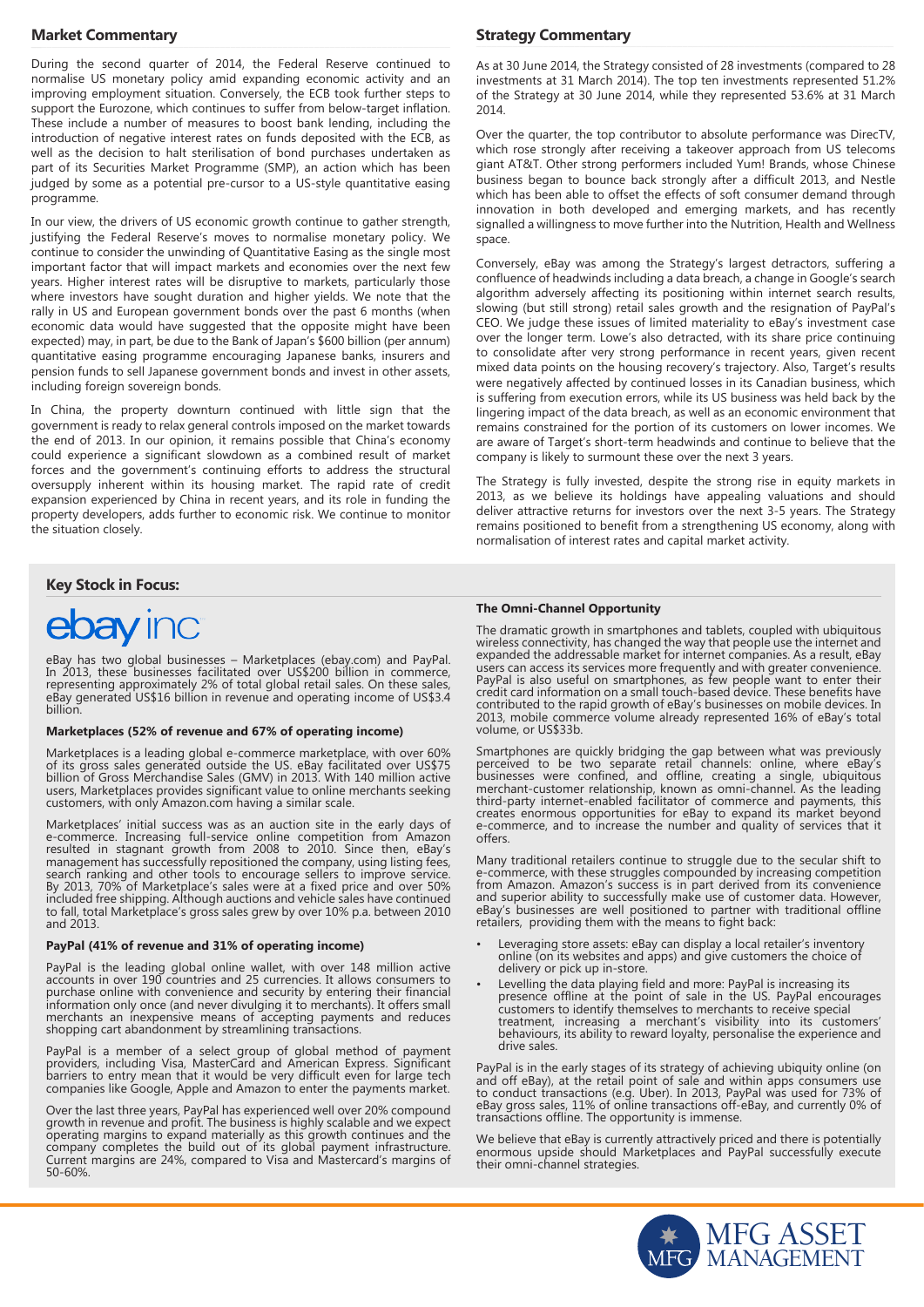#### **Market Commentary**

During the second quarter of 2014, the Federal Reserve continued to normalise US monetary policy amid expanding economic activity and an improving employment situation. Conversely, the ECB took further steps to support the Eurozone, which continues to suffer from below-target inflation. These include a number of measures to boost bank lending, including the introduction of negative interest rates on funds deposited with the ECB, as well as the decision to halt sterilisation of bond purchases undertaken as part of its Securities Market Programme (SMP), an action which has been judged by some as a potential pre-cursor to a US-style quantitative easing programme.

In our view, the drivers of US economic growth continue to gather strength, justifying the Federal Reserve's moves to normalise monetary policy. We continue to consider the unwinding of Quantitative Easing as the single most important factor that will impact markets and economies over the next few years. Higher interest rates will be disruptive to markets, particularly those where investors have sought duration and higher yields. We note that the rally in US and European government bonds over the past 6 months (when economic data would have suggested that the opposite might have been expected) may, in part, be due to the Bank of Japan's \$600 billion (per annum) quantitative easing programme encouraging Japanese banks, insurers and pension funds to sell Japanese government bonds and invest in other assets, including foreign sovereign bonds.

In China, the property downturn continued with little sign that the government is ready to relax general controls imposed on the market towards the end of 2013. In our opinion, it remains possible that China's economy could experience a significant slowdown as a combined result of market forces and the government's continuing efforts to address the structural oversupply inherent within its housing market. The rapid rate of credit expansion experienced by China in recent years, and its role in funding the property developers, adds further to economic risk. We continue to monitor the situation closely.

#### **Key Stock in Focus:**

## ebay inc

eBay has two global businesses – Marketplaces (ebay.com) and PayPal. In 2013, these businesses facilitated over US\$200 billion in commerce, representing approximately 2% of total global retail sales. On these sales, eBay generated US\$16 billion in revenue and operating income of US\$3.4 billion.

#### **Marketplaces (52% of revenue and 67% of operating income)**

Marketplaces is a leading global e-commerce marketplace, with over 60% of its gross sales generated outside the US. eBay facilitated over US\$75 billion of Gross Merchandise Sales (GMV) in 2013. With 140 million active users, Marketplaces provides significant value to online merchants seeking customers, with only Amazon.com having a similar scale.

Marketplaces' initial success was as an auction site in the early days of e-commerce. Increasing full-service online competition from Amazon resulted in stagnant growth from 2008 to 2010. Since then, eBay's management has successfully repositioned the company, using listing fees, search ranking and other tools to encourage sellers to improve service. By 2013, 70% of Marketplace's sales were at a fixed price and over 50% included free shipping. Although auctions and vehicle sales have continued to fall, total Marketplace's gross sales grew by over 10% p.a. between 2010 and 2013.

#### **PayPal (41% of revenue and 31% of operating income)**

PayPal is the leading global online wallet, with over 148 million active accounts in over 190 countries and 25 currencies. It allows consumers to purchase online with convenience and security by entering their financial information only once (and never divulging it to merchants). It offers small merchants an inexpensive means of accepting payments and reduces shopping cart abandonment by streamlining transactions.

PayPal is a member of a select group of global method of payment providers, including Visa, MasterCard and American Express. Significant barriers to entry mean that it would be very difficult even for large tech companies like Google, Apple and Amazon to enter the payments market.

Over the last three years, PayPal has experienced well over 20% compound growth in revenue and profit. The business is highly scalable and we expect operating margins to expand materially as this growth continues and the company completes the build out of its global payment infrastructure. Current margins are 24%, compared to Visa and Mastercard's margins of 50-60%.

#### **Strategy Commentary**

As at 30 June 2014, the Strategy consisted of 28 investments (compared to 28 investments at 31 March 2014). The top ten investments represented 51.2% of the Strategy at 30 June 2014, while they represented 53.6% at 31 March 2014.

Over the quarter, the top contributor to absolute performance was DirecTV, which rose strongly after receiving a takeover approach from US telecoms giant AT&T. Other strong performers included Yum! Brands, whose Chinese business began to bounce back strongly after a difficult 2013, and Nestle which has been able to offset the effects of soft consumer demand through innovation in both developed and emerging markets, and has recently signalled a willingness to move further into the Nutrition, Health and Wellness space.

Conversely, eBay was among the Strategy's largest detractors, suffering a confluence of headwinds including a data breach, a change in Google's search algorithm adversely affecting its positioning within internet search results, slowing (but still strong) retail sales growth and the resignation of PayPal's CEO. We judge these issues of limited materiality to eBay's investment case over the longer term. Lowe's also detracted, with its share price continuing to consolidate after very strong performance in recent years, given recent mixed data points on the housing recovery's trajectory. Also, Target's results were negatively affected by continued losses in its Canadian business, which is suffering from execution errors, while its US business was held back by the lingering impact of the data breach, as well as an economic environment that remains constrained for the portion of its customers on lower incomes. We are aware of Target's short-term headwinds and continue to believe that the company is likely to surmount these over the next 3 years.

The Strategy is fully invested, despite the strong rise in equity markets in 2013, as we believe its holdings have appealing valuations and should deliver attractive returns for investors over the next 3-5 years. The Strategy remains positioned to benefit from a strengthening US economy, along with normalisation of interest rates and capital market activity.

#### **The Omni-Channel Opportunity**

The dramatic growth in smartphones and tablets, coupled with ubiquitous wireless connectivity, has changed the way that people use the internet and expanded the addressable market for internet companies. As a result, eBay users can access its services more frequently and with greater convenience. PayPal is also useful on smartphones, as few people want to enter their credit card information on a small touch-based device. These benefits have contributed to the rapid growth of eBay's businesses on mobile devices. In 2013, mobile commerce volume already represented 16% of eBay's total volume, or US\$33b.

Smartphones are quickly bridging the gap between what was previously perceived to be two separate retail channels: online, where eBay's businesses were confined, and offline, creating a single, ubiquitous merchant-customer relationship, known as omni-channel. As the leading third-party internet-enabled facilitator of commerce and payments, this creates enormous opportunities for eBay to expand its market beyond e-commerce, and to increase the number and quality of services that it offers.

Many traditional retailers continue to struggle due to the secular shift to e-commerce, with these struggles compounded by increasing competition from Amazon. Amazon's success is in part derived from its convenience and superior ability to successfully make use of customer data. However, eBay's businesses are well positioned to partner with traditional offline retailers, providing them with the means to fight back:

- Leveraging store assets: eBay can display a local retailer's inventory online (on its websites and apps) and give customers the choice of delivery or pick up in-store.
- Levelling the data playing field and more: PayPal is increasing its presence offline at the point of sale in the US. PayPal encourages customers to identify themselves to merchants to receive special treatment, increasing a merchant's visibility into its customers' behaviours, its ability to reward loyalty, personalise the experience and drive sales.

PayPal is in the early stages of its strategy of achieving ubiquity online (on and off eBay), at the retail point of sale and within apps consumers use to conduct transactions (e.g. Uber). In 2013, PayPal was used for 73% of eBay gross sales, 11% of online transactions off-eBay, and currently 0% of transactions offline. The opportunity is immense.

We believe that eBay is currently attractively priced and there is potentially enormous upside should Marketplaces and PayPal successfully execute their omni-channel strategies.